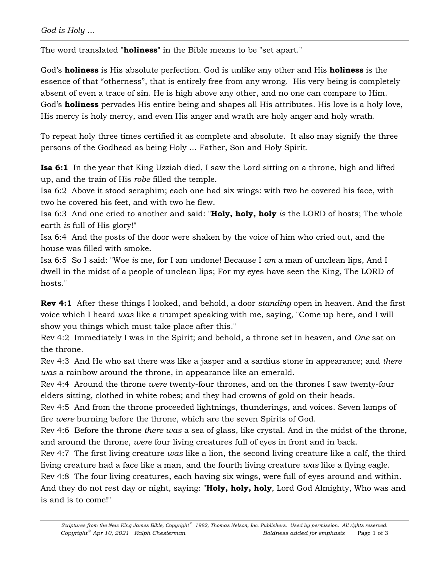The word translated "**holiness**" in the Bible means to be "set apart."

God's **holiness** is His absolute perfection. God is unlike any other and His **holiness** is the essence of that "otherness", that is entirely free from any wrong. His very being is completely absent of even a trace of sin. He is high above any other, and no one can compare to Him. God's **holiness** pervades His entire being and shapes all His attributes. His love is a holy love, His mercy is holy mercy, and even His anger and wrath are holy anger and holy wrath.

To repeat holy three times certified it as complete and absolute. It also may signify the three persons of the Godhead as being Holy … Father, Son and Holy Spirit.

**Isa 6:1** In the year that King Uzziah died, I saw the Lord sitting on a throne, high and lifted up, and the train of His *robe* filled the temple.

Isa 6:2 Above it stood seraphim; each one had six wings: with two he covered his face, with two he covered his feet, and with two he flew.

Isa 6:3 And one cried to another and said: "**Holy, holy, holy** *is* the LORD of hosts; The whole earth *is* full of His glory!"

Isa 6:4 And the posts of the door were shaken by the voice of him who cried out, and the house was filled with smoke.

Isa 6:5 So I said: "Woe *is* me, for I am undone! Because I *am* a man of unclean lips, And I dwell in the midst of a people of unclean lips; For my eyes have seen the King, The LORD of hosts."

**Rev 4:1** After these things I looked, and behold, a door *standing* open in heaven. And the first voice which I heard *was* like a trumpet speaking with me, saying, "Come up here, and I will show you things which must take place after this."

Rev 4:2 Immediately I was in the Spirit; and behold, a throne set in heaven, and *One* sat on the throne.

Rev 4:3 And He who sat there was like a jasper and a sardius stone in appearance; and *there was* a rainbow around the throne, in appearance like an emerald.

Rev 4:4 Around the throne *were* twenty-four thrones, and on the thrones I saw twenty-four elders sitting, clothed in white robes; and they had crowns of gold on their heads.

Rev 4:5 And from the throne proceeded lightnings, thunderings, and voices. Seven lamps of fire *were* burning before the throne, which are the seven Spirits of God.

Rev 4:6 Before the throne *there was* a sea of glass, like crystal. And in the midst of the throne, and around the throne, *were* four living creatures full of eyes in front and in back.

Rev 4:7 The first living creature *was* like a lion, the second living creature like a calf, the third living creature had a face like a man, and the fourth living creature *was* like a flying eagle.

Rev 4:8 The four living creatures, each having six wings, were full of eyes around and within. And they do not rest day or night, saying: "**Holy, holy, holy**, Lord God Almighty, Who was and is and is to come!"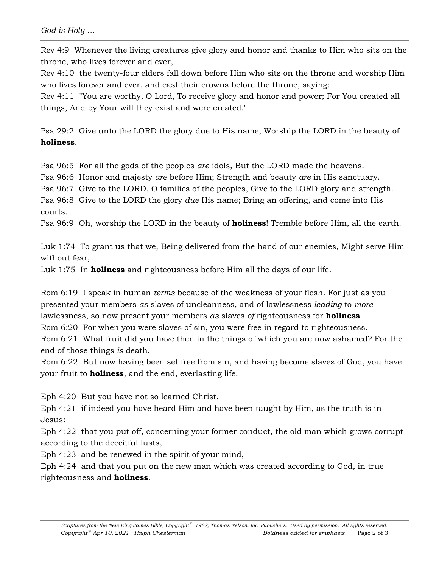Rev 4:9 Whenever the living creatures give glory and honor and thanks to Him who sits on the throne, who lives forever and ever,

Rev 4:10 the twenty-four elders fall down before Him who sits on the throne and worship Him who lives forever and ever, and cast their crowns before the throne, saying:

Rev 4:11 "You are worthy, O Lord, To receive glory and honor and power; For You created all things, And by Your will they exist and were created."

Psa 29:2 Give unto the LORD the glory due to His name; Worship the LORD in the beauty of **holiness**.

Psa 96:5 For all the gods of the peoples *are* idols, But the LORD made the heavens.

Psa 96:6 Honor and majesty *are* before Him; Strength and beauty *are* in His sanctuary.

Psa 96:7 Give to the LORD, O families of the peoples, Give to the LORD glory and strength.

Psa 96:8 Give to the LORD the glory *due* His name; Bring an offering, and come into His courts.

Psa 96:9 Oh, worship the LORD in the beauty of **holiness**! Tremble before Him, all the earth.

Luk 1:74 To grant us that we, Being delivered from the hand of our enemies, Might serve Him without fear,

Luk 1:75 In **holiness** and righteousness before Him all the days of our life.

Rom 6:19 I speak in human *terms* because of the weakness of your flesh. For just as you presented your members *as* slaves of uncleanness, and of lawlessness *leading* to *more* lawlessness, so now present your members *as* slaves *of* righteousness for **holiness**. Rom 6:20 For when you were slaves of sin, you were free in regard to righteousness.

Rom 6:21 What fruit did you have then in the things of which you are now ashamed? For the end of those things *is* death.

Rom 6:22 But now having been set free from sin, and having become slaves of God, you have your fruit to **holiness**, and the end, everlasting life.

Eph 4:20 But you have not so learned Christ,

Eph 4:21 if indeed you have heard Him and have been taught by Him, as the truth is in Jesus:

Eph 4:22 that you put off, concerning your former conduct, the old man which grows corrupt according to the deceitful lusts,

Eph 4:23 and be renewed in the spirit of your mind,

Eph 4:24 and that you put on the new man which was created according to God, in true righteousness and **holiness**.